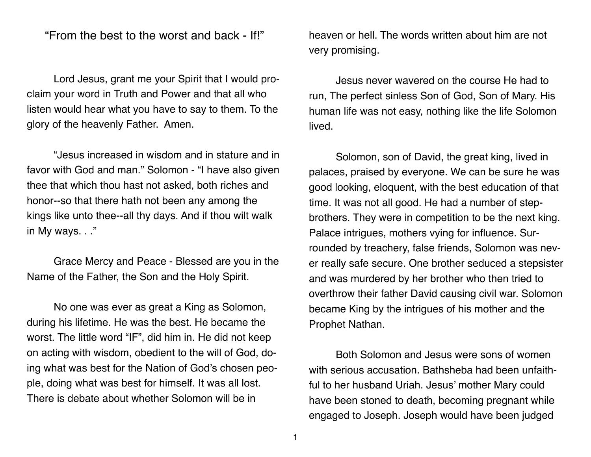"From the best to the worst and back - If!"

Lord Jesus, grant me your Spirit that I would proclaim your word in Truth and Power and that all who listen would hear what you have to say to them. To the glory of the heavenly Father. Amen.

"Jesus increased in wisdom and in stature and in favor with God and man." Solomon - "I have also given thee that which thou hast not asked, both riches and honor--so that there hath not been any among the kings like unto thee--all thy days. And if thou wilt walk in My ways. . ."

Grace Mercy and Peace - Blessed are you in the Name of the Father, the Son and the Holy Spirit.

No one was ever as great a King as Solomon, during his lifetime. He was the best. He became the worst. The little word "IF", did him in. He did not keep on acting with wisdom, obedient to the will of God, doing what was best for the Nation of God's chosen people, doing what was best for himself. It was all lost. There is debate about whether Solomon will be in

heaven or hell. The words written about him are not very promising.

Jesus never wavered on the course He had to run, The perfect sinless Son of God, Son of Mary. His human life was not easy, nothing like the life Solomon lived.

Solomon, son of David, the great king, lived in palaces, praised by everyone. We can be sure he was good looking, eloquent, with the best education of that time. It was not all good. He had a number of stepbrothers. They were in competition to be the next king. Palace intrigues, mothers vying for influence. Surrounded by treachery, false friends, Solomon was never really safe secure. One brother seduced a stepsister and was murdered by her brother who then tried to overthrow their father David causing civil war. Solomon became King by the intrigues of his mother and the Prophet Nathan.

Both Solomon and Jesus were sons of women with serious accusation. Bathsheba had been unfaithful to her husband Uriah. Jesus' mother Mary could have been stoned to death, becoming pregnant while engaged to Joseph. Joseph would have been judged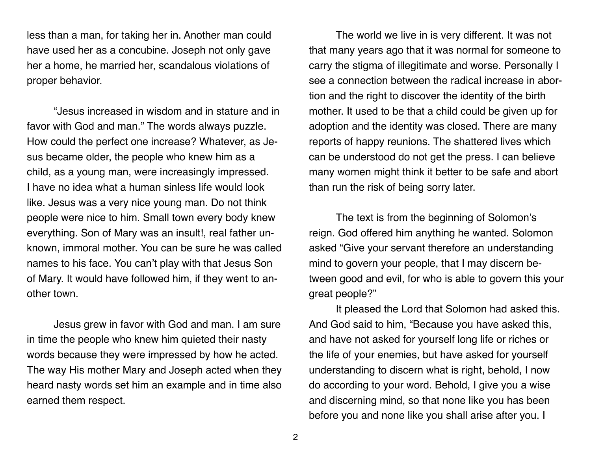less than a man, for taking her in. Another man could have used her as a concubine. Joseph not only gave her a home, he married her, scandalous violations of proper behavior.

"Jesus increased in wisdom and in stature and in favor with God and man." The words always puzzle. How could the perfect one increase? Whatever, as Jesus became older, the people who knew him as a child, as a young man, were increasingly impressed. I have no idea what a human sinless life would look like. Jesus was a very nice young man. Do not think people were nice to him. Small town every body knew everything. Son of Mary was an insult!, real father unknown, immoral mother. You can be sure he was called names to his face. You can't play with that Jesus Son of Mary. It would have followed him, if they went to another town.

Jesus grew in favor with God and man. I am sure in time the people who knew him quieted their nasty words because they were impressed by how he acted. The way His mother Mary and Joseph acted when they heard nasty words set him an example and in time also earned them respect.

The world we live in is very different. It was not that many years ago that it was normal for someone to carry the stigma of illegitimate and worse. Personally I see a connection between the radical increase in abortion and the right to discover the identity of the birth mother. It used to be that a child could be given up for adoption and the identity was closed. There are many reports of happy reunions. The shattered lives which can be understood do not get the press. I can believe many women might think it better to be safe and abort than run the risk of being sorry later.

The text is from the beginning of Solomon's reign. God offered him anything he wanted. Solomon asked "Give your servant therefore an understanding mind to govern your people, that I may discern between good and evil, for who is able to govern this your great people?"

It pleased the Lord that Solomon had asked this. And God said to him, "Because you have asked this, and have not asked for yourself long life or riches or the life of your enemies, but have asked for yourself understanding to discern what is right, behold, I now do according to your word. Behold, I give you a wise and discerning mind, so that none like you has been before you and none like you shall arise after you. I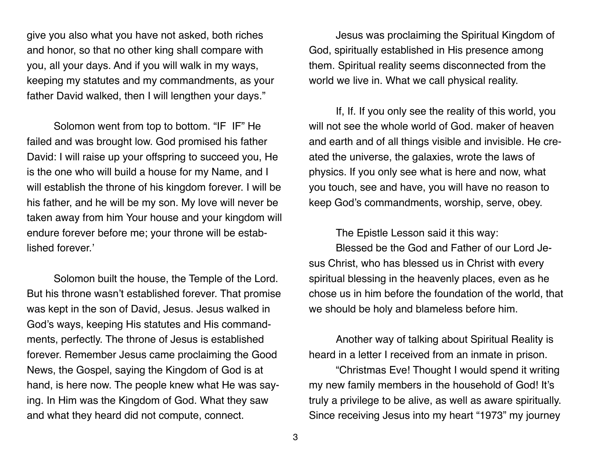give you also what you have not asked, both riches and honor, so that no other king shall compare with you, all your days. And if you will walk in my ways, keeping my statutes and my commandments, as your father David walked, then I will lengthen your days."

Solomon went from top to bottom. "IF IF" He failed and was brought low. God promised his father David: I will raise up your offspring to succeed you, He is the one who will build a house for my Name, and I will establish the throne of his kingdom forever. I will be his father, and he will be my son. My love will never be taken away from him Your house and your kingdom will endure forever before me; your throne will be established forever.'

Solomon built the house, the Temple of the Lord. But his throne wasn't established forever. That promise was kept in the son of David, Jesus. Jesus walked in God's ways, keeping His statutes and His commandments, perfectly. The throne of Jesus is established forever. Remember Jesus came proclaiming the Good News, the Gospel, saying the Kingdom of God is at hand, is here now. The people knew what He was saying. In Him was the Kingdom of God. What they saw and what they heard did not compute, connect.

Jesus was proclaiming the Spiritual Kingdom of God, spiritually established in His presence among them. Spiritual reality seems disconnected from the world we live in. What we call physical reality.

If, If. If you only see the reality of this world, you will not see the whole world of God. maker of heaven and earth and of all things visible and invisible. He created the universe, the galaxies, wrote the laws of physics. If you only see what is here and now, what you touch, see and have, you will have no reason to keep God's commandments, worship, serve, obey.

The Epistle Lesson said it this way:

Blessed be the God and Father of our Lord Jesus Christ, who has blessed us in Christ with every spiritual blessing in the heavenly places, even as he chose us in him before the foundation of the world, that we should be holy and blameless before him.

Another way of talking about Spiritual Reality is heard in a letter I received from an inmate in prison.

"Christmas Eve! Thought I would spend it writing my new family members in the household of God! It's truly a privilege to be alive, as well as aware spiritually. Since receiving Jesus into my heart "1973" my journey